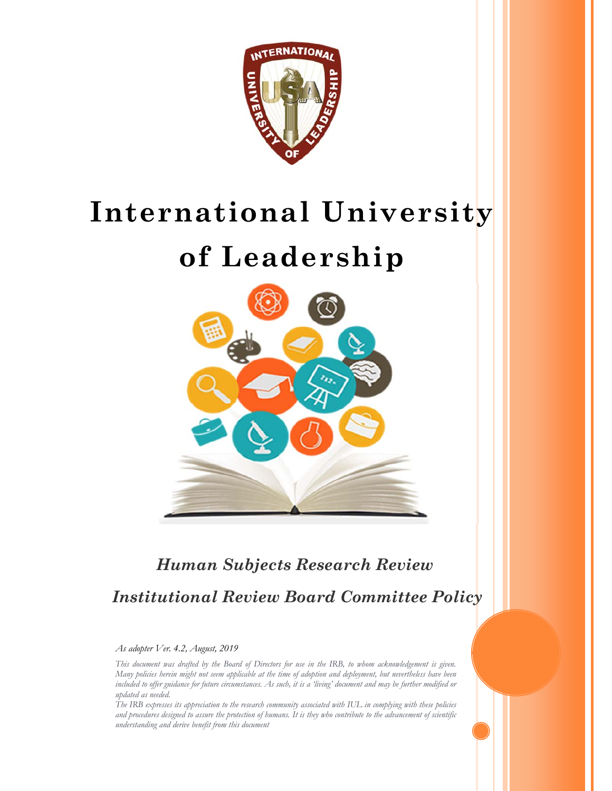

# **International University**

## **of Leadership**



### *Human Subjects Research Review Institutional Review Board Committee Policy*

#### *As adopter Ver. 4.2, August, 2019*

*This document was drafted by the Board of Directors for use in the IRB, to whom acknowledgement is given. Many policies herein might not seem applicable at the time of adoption and deployment, but nevertheless have been included to offer guidance for future circumstances. As such, it is a 'living' document and may be further modified or updated as needed.* 

*The IRB expresses its appreciation to the research community associated with IUL in complying with these policies and procedures designed to assure the protection of humans. It is they who contribute to the advancement of scientific understanding and derive benefit from this document*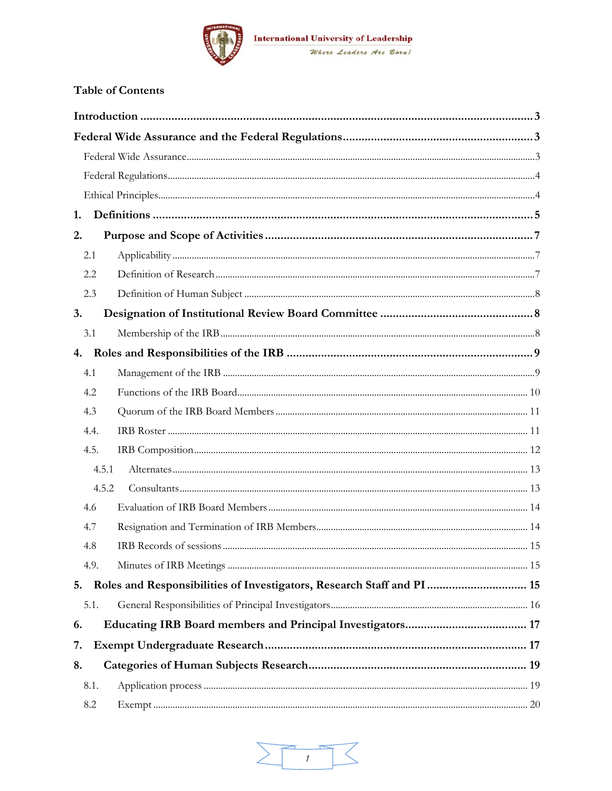

#### **Table of Contents**

| 1.   |                                                                        |  |  |  |
|------|------------------------------------------------------------------------|--|--|--|
| 2.   |                                                                        |  |  |  |
| 2.1  |                                                                        |  |  |  |
| 2.2  |                                                                        |  |  |  |
| 2.3  |                                                                        |  |  |  |
| 3.   |                                                                        |  |  |  |
| 3.1  |                                                                        |  |  |  |
| 4.   |                                                                        |  |  |  |
| 4.1  |                                                                        |  |  |  |
| 4.2  |                                                                        |  |  |  |
| 4.3  |                                                                        |  |  |  |
| 4.4. |                                                                        |  |  |  |
| 4.5. |                                                                        |  |  |  |
|      | 4.5.1                                                                  |  |  |  |
|      | 4.5.2                                                                  |  |  |  |
| 4.6  |                                                                        |  |  |  |
| 4.7  |                                                                        |  |  |  |
| 4.8  |                                                                        |  |  |  |
| 4.9. |                                                                        |  |  |  |
| 5.   | Roles and Responsibilities of Investigators, Research Staff and PI  15 |  |  |  |
| 5.1. |                                                                        |  |  |  |
| 6.   |                                                                        |  |  |  |
| 7.   |                                                                        |  |  |  |
| 8.   |                                                                        |  |  |  |
| 8.1. |                                                                        |  |  |  |
| 8.2  |                                                                        |  |  |  |

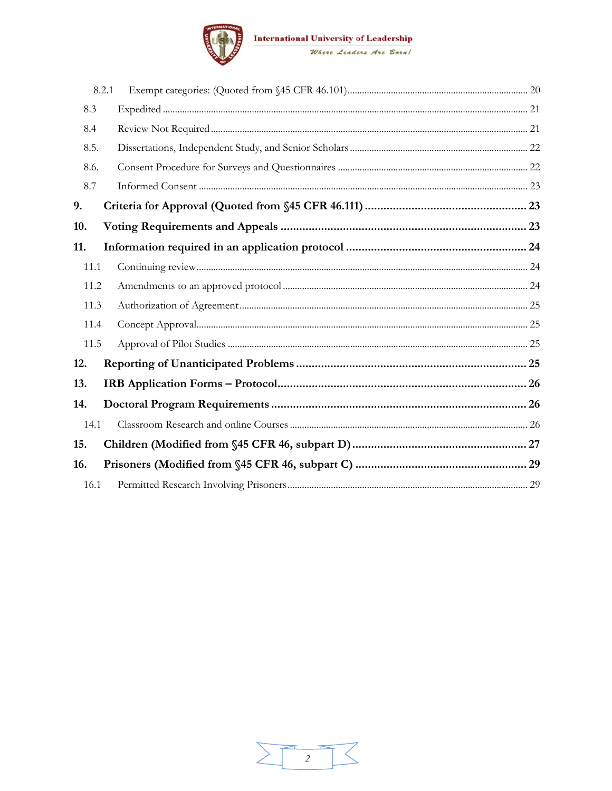

|      | 8.2.1 |  |  |  |
|------|-------|--|--|--|
| 8.3  |       |  |  |  |
| 8.4  |       |  |  |  |
| 8.5. |       |  |  |  |
| 8.6. |       |  |  |  |
| 8.7  |       |  |  |  |
| 9.   |       |  |  |  |
| 10.  |       |  |  |  |
| 11.  |       |  |  |  |
| 11.1 |       |  |  |  |
| 11.2 |       |  |  |  |
| 11.3 |       |  |  |  |
| 11.4 |       |  |  |  |
| 11.5 |       |  |  |  |
| 12.  |       |  |  |  |
| 13.  |       |  |  |  |
| 14.  |       |  |  |  |
| 14.1 |       |  |  |  |
| 15.  |       |  |  |  |
| 16.  |       |  |  |  |
| 16.1 |       |  |  |  |

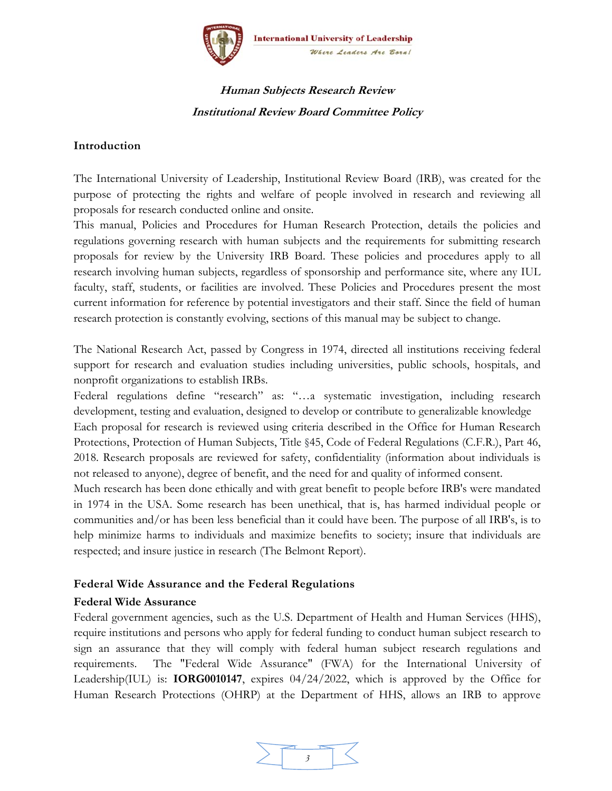

#### **Human Subjects Research Review Institutional Review Board Committee Policy**

#### **Introduction**

The International University of Leadership, Institutional Review Board (IRB), was created for the purpose of protecting the rights and welfare of people involved in research and reviewing all proposals for research conducted online and onsite.

This manual, Policies and Procedures for Human Research Protection, details the policies and regulations governing research with human subjects and the requirements for submitting research proposals for review by the University IRB Board. These policies and procedures apply to all research involving human subjects, regardless of sponsorship and performance site, where any IUL faculty, staff, students, or facilities are involved. These Policies and Procedures present the most current information for reference by potential investigators and their staff. Since the field of human research protection is constantly evolving, sections of this manual may be subject to change.

The National Research Act, passed by Congress in 1974, directed all institutions receiving federal support for research and evaluation studies including universities, public schools, hospitals, and nonprofit organizations to establish IRBs.

Federal regulations define "research" as: "…a systematic investigation, including research development, testing and evaluation, designed to develop or contribute to generalizable knowledge Each proposal for research is reviewed using criteria described in the Office for Human Research Protections, Protection of Human Subjects, Title §45, Code of Federal Regulations (C.F.R.), Part 46, 2018. Research proposals are reviewed for safety, confidentiality (information about individuals is not released to anyone), degree of benefit, and the need for and quality of informed consent.

Much research has been done ethically and with great benefit to people before IRB's were mandated in 1974 in the USA. Some research has been unethical, that is, has harmed individual people or communities and/or has been less beneficial than it could have been. The purpose of all IRB's, is to help minimize harms to individuals and maximize benefits to society; insure that individuals are respected; and insure justice in research (The Belmont Report).

#### **Federal Wide Assurance and the Federal Regulations**

#### **Federal Wide Assurance**

Federal government agencies, such as the U.S. Department of Health and Human Services (HHS), require institutions and persons who apply for federal funding to conduct human subject research to sign an assurance that they will comply with federal human subject research regulations and requirements. The "Federal Wide Assurance" (FWA) for the International University of Leadership(IUL) is: **IORG0010147**, expires 04/24/2022, which is approved by the Office for Human Research Protections (OHRP) at the Department of HHS, allows an IRB to approve

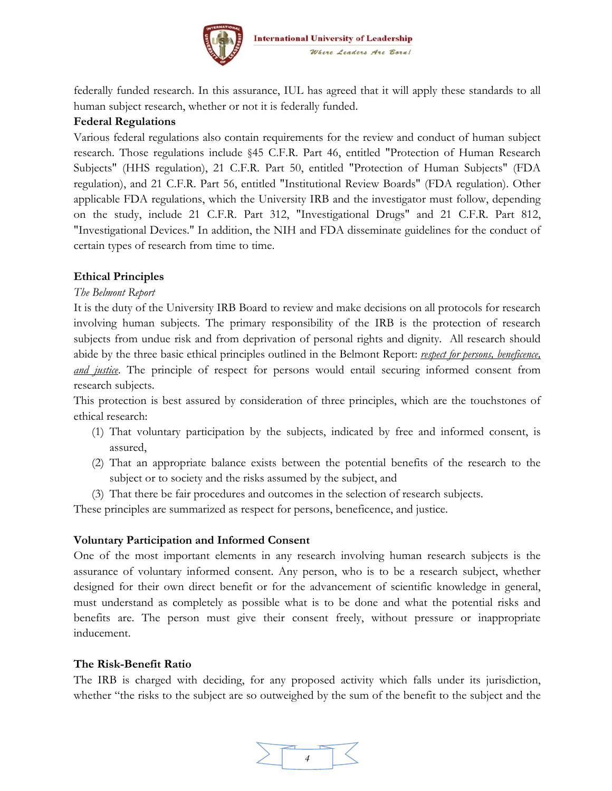

federally funded research. In this assurance, IUL has agreed that it will apply these standards to all human subject research, whether or not it is federally funded.

#### **Federal Regulations**

Various federal regulations also contain requirements for the review and conduct of human subject research. Those regulations include §45 C.F.R. Part 46, entitled "Protection of Human Research Subjects" (HHS regulation), 21 C.F.R. Part 50, entitled "Protection of Human Subjects" (FDA regulation), and 21 C.F.R. Part 56, entitled "Institutional Review Boards" (FDA regulation). Other applicable FDA regulations, which the University IRB and the investigator must follow, depending on the study, include 21 C.F.R. Part 312, "Investigational Drugs" and 21 C.F.R. Part 812, "Investigational Devices." In addition, the NIH and FDA disseminate guidelines for the conduct of certain types of research from time to time.

#### **Ethical Principles**

#### *The Belmont Report*

It is the duty of the University IRB Board to review and make decisions on all protocols for research involving human subjects. The primary responsibility of the IRB is the protection of research subjects from undue risk and from deprivation of personal rights and dignity. All research should abide by the three basic ethical principles outlined in the Belmont Report: *respect for persons, beneficence, and justice*. The principle of respect for persons would entail securing informed consent from research subjects.

This protection is best assured by consideration of three principles, which are the touchstones of ethical research:

- (1) That voluntary participation by the subjects, indicated by free and informed consent, is assured,
- (2) That an appropriate balance exists between the potential benefits of the research to the subject or to society and the risks assumed by the subject, and
- (3) That there be fair procedures and outcomes in the selection of research subjects.

These principles are summarized as respect for persons, beneficence, and justice.

#### **Voluntary Participation and Informed Consent**

One of the most important elements in any research involving human research subjects is the assurance of voluntary informed consent. Any person, who is to be a research subject, whether designed for their own direct benefit or for the advancement of scientific knowledge in general, must understand as completely as possible what is to be done and what the potential risks and benefits are. The person must give their consent freely, without pressure or inappropriate inducement.

#### **The Risk-Benefit Ratio**

The IRB is charged with deciding, for any proposed activity which falls under its jurisdiction, whether "the risks to the subject are so outweighed by the sum of the benefit to the subject and the

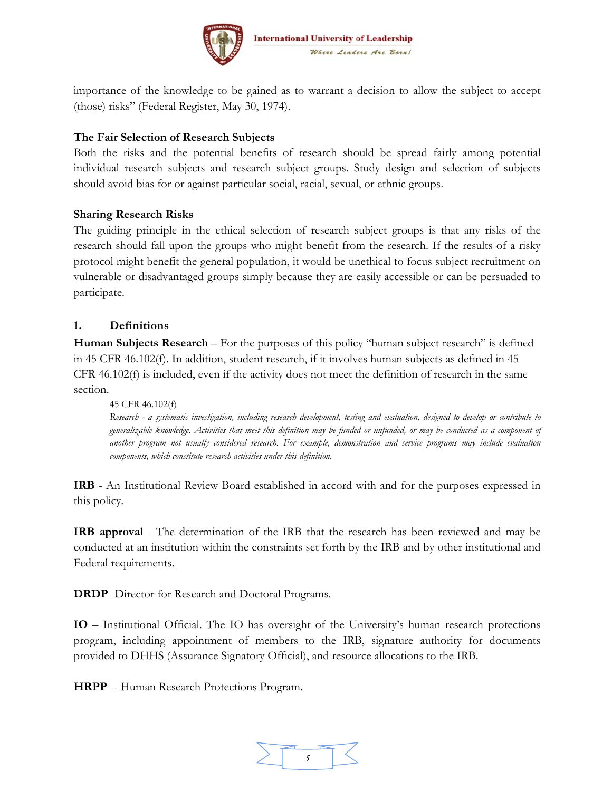

importance of the knowledge to be gained as to warrant a decision to allow the subject to accept (those) risks" (Federal Register, May 30, 1974).

#### **The Fair Selection of Research Subjects**

Both the risks and the potential benefits of research should be spread fairly among potential individual research subjects and research subject groups. Study design and selection of subjects should avoid bias for or against particular social, racial, sexual, or ethnic groups.

#### **Sharing Research Risks**

The guiding principle in the ethical selection of research subject groups is that any risks of the research should fall upon the groups who might benefit from the research. If the results of a risky protocol might benefit the general population, it would be unethical to focus subject recruitment on vulnerable or disadvantaged groups simply because they are easily accessible or can be persuaded to participate.

#### **1. Definitions**

**Human Subjects Research** – For the purposes of this policy "human subject research" is defined in 45 CFR 46.102(f). In addition, student research, if it involves human subjects as defined in 45 CFR  $46.102(f)$  is included, even if the activity does not meet the definition of research in the same section.

45 CFR 46.102(f) *Research - a systematic investigation, including research development, testing and evaluation, designed to develop or contribute to generalizable knowledge. Activities that meet this definition may be funded or unfunded, or may be conducted as a component of another program not usually considered research. For example, demonstration and service programs may include evaluation components, which constitute research activities under this definition*.

**IRB** - An Institutional Review Board established in accord with and for the purposes expressed in this policy.

**IRB approval** - The determination of the IRB that the research has been reviewed and may be conducted at an institution within the constraints set forth by the IRB and by other institutional and Federal requirements.

**DRDP**- Director for Research and Doctoral Programs.

**IO** – Institutional Official. The IO has oversight of the University's human research protections program, including appointment of members to the IRB, signature authority for documents provided to DHHS (Assurance Signatory Official), and resource allocations to the IRB.

**HRPP** -- Human Research Protections Program.

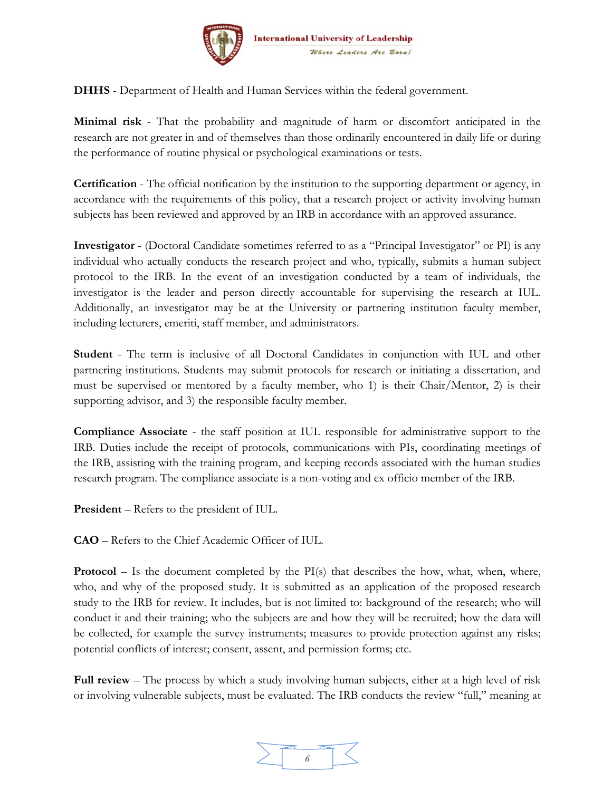

**DHHS** - Department of Health and Human Services within the federal government.

**Minimal risk** - That the probability and magnitude of harm or discomfort anticipated in the research are not greater in and of themselves than those ordinarily encountered in daily life or during the performance of routine physical or psychological examinations or tests.

**Certification** - The official notification by the institution to the supporting department or agency, in accordance with the requirements of this policy, that a research project or activity involving human subjects has been reviewed and approved by an IRB in accordance with an approved assurance.

**Investigator** - (Doctoral Candidate sometimes referred to as a "Principal Investigator" or PI) is any individual who actually conducts the research project and who, typically, submits a human subject protocol to the IRB. In the event of an investigation conducted by a team of individuals, the investigator is the leader and person directly accountable for supervising the research at IUL. Additionally, an investigator may be at the University or partnering institution faculty member, including lecturers, emeriti, staff member, and administrators.

**Student** - The term is inclusive of all Doctoral Candidates in conjunction with IUL and other partnering institutions. Students may submit protocols for research or initiating a dissertation, and must be supervised or mentored by a faculty member, who 1) is their Chair/Mentor, 2) is their supporting advisor, and 3) the responsible faculty member.

**Compliance Associate** - the staff position at IUL responsible for administrative support to the IRB. Duties include the receipt of protocols, communications with PIs, coordinating meetings of the IRB, assisting with the training program, and keeping records associated with the human studies research program. The compliance associate is a non-voting and ex officio member of the IRB.

**President** – Refers to the president of IUL.

**CAO** – Refers to the Chief Academic Officer of IUL.

**Protocol** – Is the document completed by the  $PI(s)$  that describes the how, what, when, where, who, and why of the proposed study. It is submitted as an application of the proposed research study to the IRB for review. It includes, but is not limited to: background of the research; who will conduct it and their training; who the subjects are and how they will be recruited; how the data will be collected, for example the survey instruments; measures to provide protection against any risks; potential conflicts of interest; consent, assent, and permission forms; etc.

**Full review** – The process by which a study involving human subjects, either at a high level of risk or involving vulnerable subjects, must be evaluated. The IRB conducts the review "full," meaning at

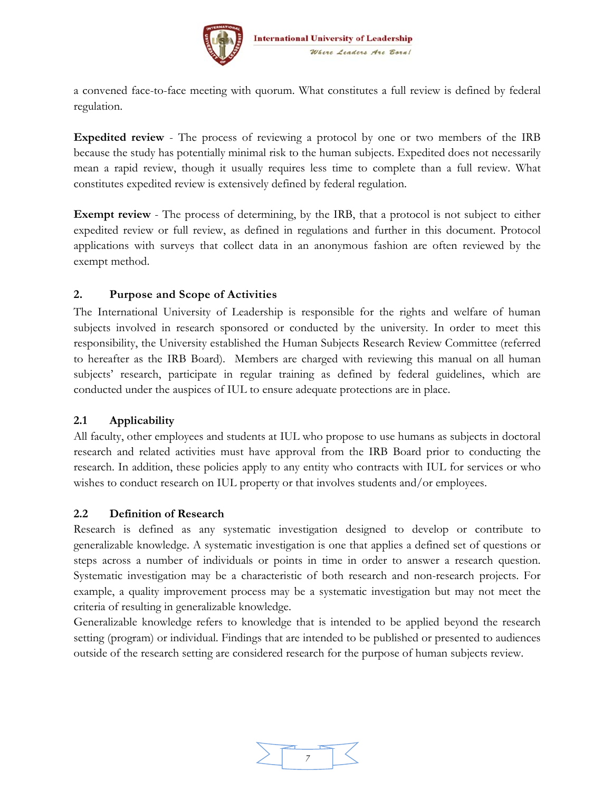

a convened face-to-face meeting with quorum. What constitutes a full review is defined by federal regulation.

**Expedited review** - The process of reviewing a protocol by one or two members of the IRB because the study has potentially minimal risk to the human subjects. Expedited does not necessarily mean a rapid review, though it usually requires less time to complete than a full review. What constitutes expedited review is extensively defined by federal regulation.

**Exempt review** - The process of determining, by the IRB, that a protocol is not subject to either expedited review or full review, as defined in regulations and further in this document. Protocol applications with surveys that collect data in an anonymous fashion are often reviewed by the exempt method.

#### **2. Purpose and Scope of Activities**

The International University of Leadership is responsible for the rights and welfare of human subjects involved in research sponsored or conducted by the university. In order to meet this responsibility, the University established the Human Subjects Research Review Committee (referred to hereafter as the IRB Board). Members are charged with reviewing this manual on all human subjects' research, participate in regular training as defined by federal guidelines, which are conducted under the auspices of IUL to ensure adequate protections are in place.

#### **2.1 Applicability**

All faculty, other employees and students at IUL who propose to use humans as subjects in doctoral research and related activities must have approval from the IRB Board prior to conducting the research. In addition, these policies apply to any entity who contracts with IUL for services or who wishes to conduct research on IUL property or that involves students and/or employees.

#### **2.2 Definition of Research**

Research is defined as any systematic investigation designed to develop or contribute to generalizable knowledge. A systematic investigation is one that applies a defined set of questions or steps across a number of individuals or points in time in order to answer a research question. Systematic investigation may be a characteristic of both research and non-research projects. For example, a quality improvement process may be a systematic investigation but may not meet the criteria of resulting in generalizable knowledge.

Generalizable knowledge refers to knowledge that is intended to be applied beyond the research setting (program) or individual. Findings that are intended to be published or presented to audiences outside of the research setting are considered research for the purpose of human subjects review.

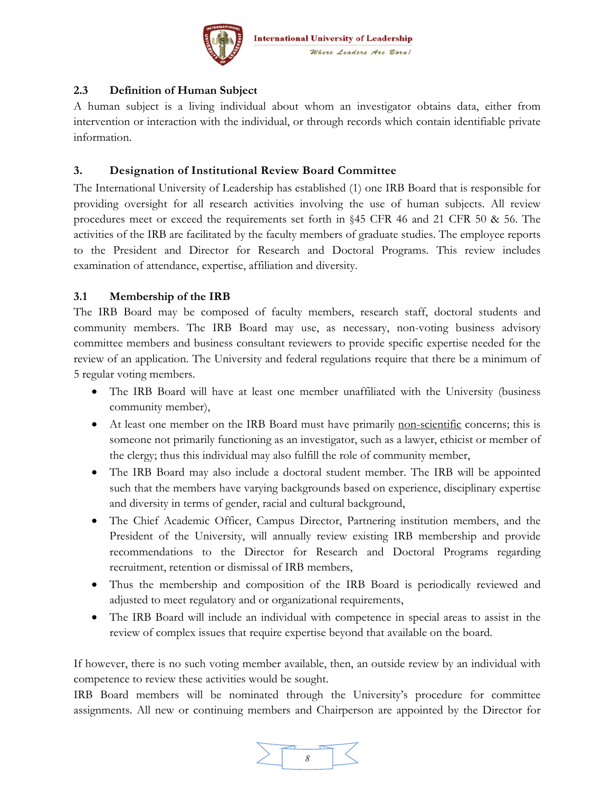

#### **2.3 Definition of Human Subject**

A human subject is a living individual about whom an investigator obtains data, either from intervention or interaction with the individual, or through records which contain identifiable private information.

#### **3. Designation of Institutional Review Board Committee**

The International University of Leadership has established (1) one IRB Board that is responsible for providing oversight for all research activities involving the use of human subjects. All review procedures meet or exceed the requirements set forth in §45 CFR 46 and 21 CFR 50 & 56. The activities of the IRB are facilitated by the faculty members of graduate studies. The employee reports to the President and Director for Research and Doctoral Programs. This review includes examination of attendance, expertise, affiliation and diversity.

#### **3.1 Membership of the IRB**

The IRB Board may be composed of faculty members, research staff, doctoral students and community members. The IRB Board may use, as necessary, non-voting business advisory committee members and business consultant reviewers to provide specific expertise needed for the review of an application. The University and federal regulations require that there be a minimum of 5 regular voting members.

- The IRB Board will have at least one member unaffiliated with the University (business community member),
- At least one member on the IRB Board must have primarily non-scientific concerns; this is someone not primarily functioning as an investigator, such as a lawyer, ethicist or member of the clergy; thus this individual may also fulfill the role of community member,
- The IRB Board may also include a doctoral student member. The IRB will be appointed such that the members have varying backgrounds based on experience, disciplinary expertise and diversity in terms of gender, racial and cultural background,
- The Chief Academic Officer, Campus Director, Partnering institution members, and the President of the University, will annually review existing IRB membership and provide recommendations to the Director for Research and Doctoral Programs regarding recruitment, retention or dismissal of IRB members,
- Thus the membership and composition of the IRB Board is periodically reviewed and adjusted to meet regulatory and or organizational requirements,
- The IRB Board will include an individual with competence in special areas to assist in the review of complex issues that require expertise beyond that available on the board.

If however, there is no such voting member available, then, an outside review by an individual with competence to review these activities would be sought.

IRB Board members will be nominated through the University's procedure for committee assignments. All new or continuing members and Chairperson are appointed by the Director for

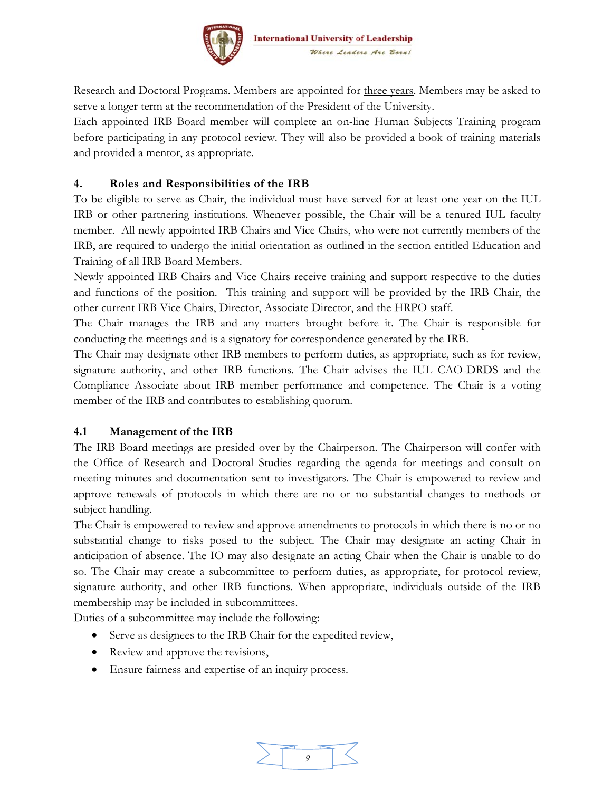

Research and Doctoral Programs. Members are appointed for three years. Members may be asked to serve a longer term at the recommendation of the President of the University.

Each appointed IRB Board member will complete an on-line Human Subjects Training program before participating in any protocol review. They will also be provided a book of training materials and provided a mentor, as appropriate.

#### **4. Roles and Responsibilities of the IRB**

To be eligible to serve as Chair, the individual must have served for at least one year on the IUL IRB or other partnering institutions. Whenever possible, the Chair will be a tenured IUL faculty member. All newly appointed IRB Chairs and Vice Chairs, who were not currently members of the IRB, are required to undergo the initial orientation as outlined in the section entitled Education and Training of all IRB Board Members.

Newly appointed IRB Chairs and Vice Chairs receive training and support respective to the duties and functions of the position. This training and support will be provided by the IRB Chair, the other current IRB Vice Chairs, Director, Associate Director, and the HRPO staff.

The Chair manages the IRB and any matters brought before it. The Chair is responsible for conducting the meetings and is a signatory for correspondence generated by the IRB.

The Chair may designate other IRB members to perform duties, as appropriate, such as for review, signature authority, and other IRB functions. The Chair advises the IUL CAO-DRDS and the Compliance Associate about IRB member performance and competence. The Chair is a voting member of the IRB and contributes to establishing quorum.

#### **4.1 Management of the IRB**

The IRB Board meetings are presided over by the Chairperson. The Chairperson will confer with the Office of Research and Doctoral Studies regarding the agenda for meetings and consult on meeting minutes and documentation sent to investigators. The Chair is empowered to review and approve renewals of protocols in which there are no or no substantial changes to methods or subject handling.

The Chair is empowered to review and approve amendments to protocols in which there is no or no substantial change to risks posed to the subject. The Chair may designate an acting Chair in anticipation of absence. The IO may also designate an acting Chair when the Chair is unable to do so. The Chair may create a subcommittee to perform duties, as appropriate, for protocol review, signature authority, and other IRB functions. When appropriate, individuals outside of the IRB membership may be included in subcommittees.

Duties of a subcommittee may include the following:

- Serve as designees to the IRB Chair for the expedited review,
- Review and approve the revisions,
- Ensure fairness and expertise of an inquiry process.

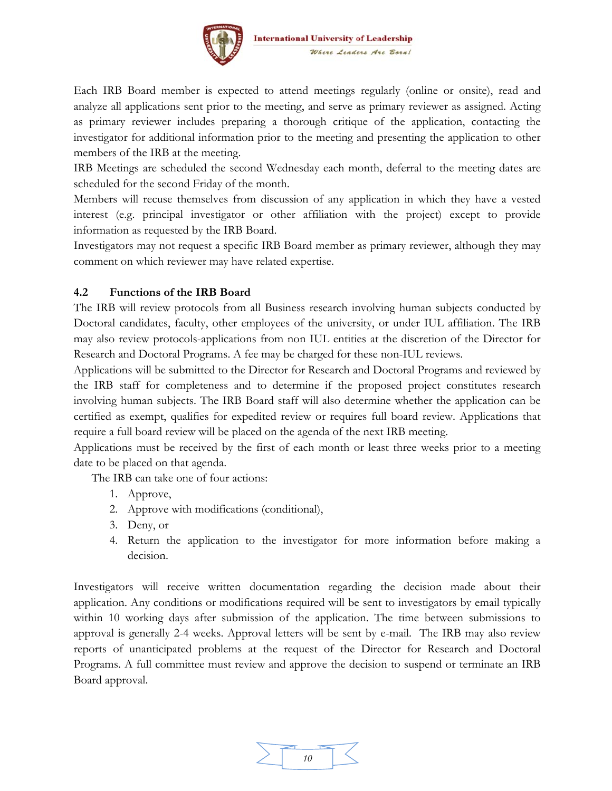

Each IRB Board member is expected to attend meetings regularly (online or onsite), read and analyze all applications sent prior to the meeting, and serve as primary reviewer as assigned. Acting as primary reviewer includes preparing a thorough critique of the application, contacting the investigator for additional information prior to the meeting and presenting the application to other members of the IRB at the meeting.

IRB Meetings are scheduled the second Wednesday each month, deferral to the meeting dates are scheduled for the second Friday of the month.

Members will recuse themselves from discussion of any application in which they have a vested interest (e.g. principal investigator or other affiliation with the project) except to provide information as requested by the IRB Board.

Investigators may not request a specific IRB Board member as primary reviewer, although they may comment on which reviewer may have related expertise.

#### **4.2 Functions of the IRB Board**

The IRB will review protocols from all Business research involving human subjects conducted by Doctoral candidates, faculty, other employees of the university, or under IUL affiliation. The IRB may also review protocols-applications from non IUL entities at the discretion of the Director for Research and Doctoral Programs. A fee may be charged for these non-IUL reviews.

Applications will be submitted to the Director for Research and Doctoral Programs and reviewed by the IRB staff for completeness and to determine if the proposed project constitutes research involving human subjects. The IRB Board staff will also determine whether the application can be certified as exempt, qualifies for expedited review or requires full board review. Applications that require a full board review will be placed on the agenda of the next IRB meeting.

Applications must be received by the first of each month or least three weeks prior to a meeting date to be placed on that agenda.

The IRB can take one of four actions:

- 1. Approve,
- 2. Approve with modifications (conditional),
- 3. Deny, or
- 4. Return the application to the investigator for more information before making a decision.

Investigators will receive written documentation regarding the decision made about their application. Any conditions or modifications required will be sent to investigators by email typically within 10 working days after submission of the application. The time between submissions to approval is generally 2-4 weeks. Approval letters will be sent by e-mail. The IRB may also review reports of unanticipated problems at the request of the Director for Research and Doctoral Programs. A full committee must review and approve the decision to suspend or terminate an IRB Board approval.

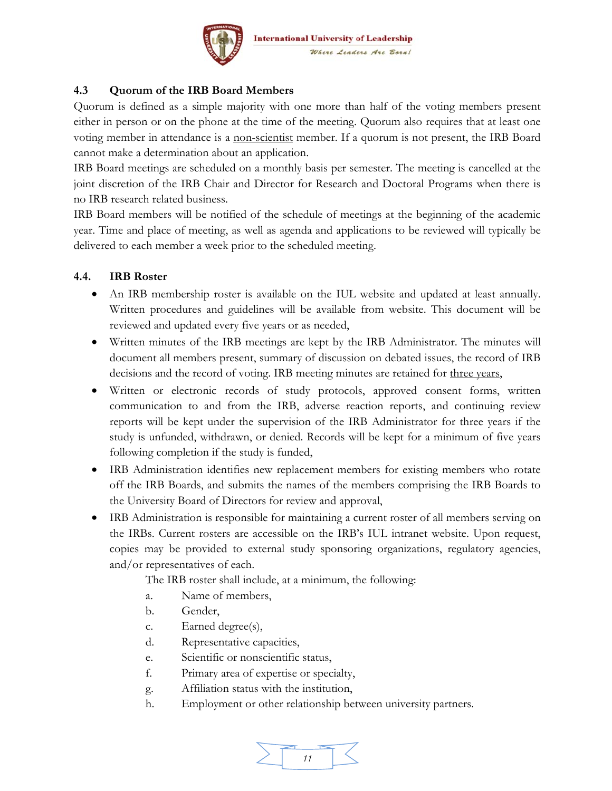

#### **4.3 Quorum of the IRB Board Members**

Quorum is defined as a simple majority with one more than half of the voting members present either in person or on the phone at the time of the meeting. Quorum also requires that at least one voting member in attendance is a non-scientist member. If a quorum is not present, the IRB Board cannot make a determination about an application.

IRB Board meetings are scheduled on a monthly basis per semester. The meeting is cancelled at the joint discretion of the IRB Chair and Director for Research and Doctoral Programs when there is no IRB research related business.

IRB Board members will be notified of the schedule of meetings at the beginning of the academic year. Time and place of meeting, as well as agenda and applications to be reviewed will typically be delivered to each member a week prior to the scheduled meeting.

#### **4.4. IRB Roster**

- An IRB membership roster is available on the IUL website and updated at least annually. Written procedures and guidelines will be available from website. This document will be reviewed and updated every five years or as needed,
- Written minutes of the IRB meetings are kept by the IRB Administrator. The minutes will document all members present, summary of discussion on debated issues, the record of IRB decisions and the record of voting. IRB meeting minutes are retained for three years,
- Written or electronic records of study protocols, approved consent forms, written communication to and from the IRB, adverse reaction reports, and continuing review reports will be kept under the supervision of the IRB Administrator for three years if the study is unfunded, withdrawn, or denied. Records will be kept for a minimum of five years following completion if the study is funded,
- IRB Administration identifies new replacement members for existing members who rotate off the IRB Boards, and submits the names of the members comprising the IRB Boards to the University Board of Directors for review and approval,
- IRB Administration is responsible for maintaining a current roster of all members serving on the IRBs. Current rosters are accessible on the IRB's IUL intranet website. Upon request, copies may be provided to external study sponsoring organizations, regulatory agencies, and/or representatives of each.

The IRB roster shall include, at a minimum, the following:

- a. Name of members,
- b. Gender,
- c. Earned degree(s),
- d. Representative capacities,
- e. Scientific or nonscientific status,
- f. Primary area of expertise or specialty,
- g. Affiliation status with the institution,
- h. Employment or other relationship between university partners.

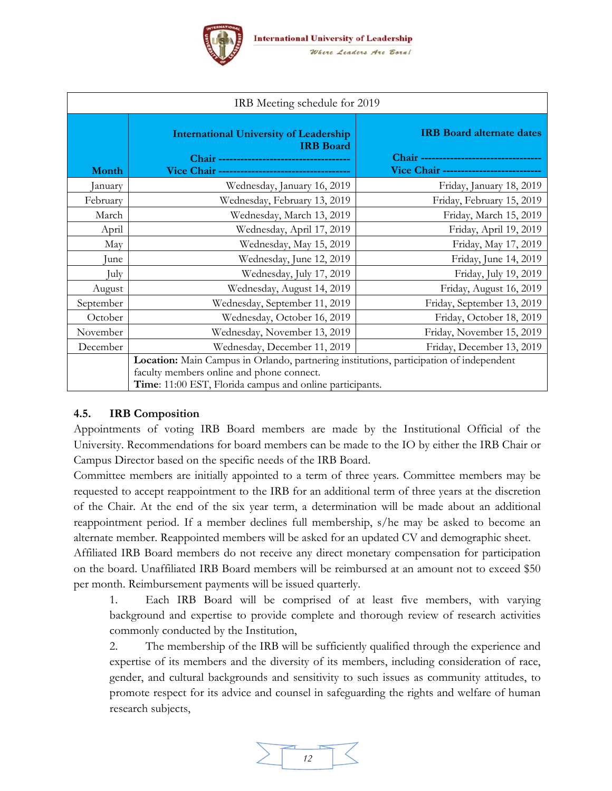

| IRB Meeting schedule for 2019 |                                                                                                                                                                                                  |                                                                                                                        |  |  |  |
|-------------------------------|--------------------------------------------------------------------------------------------------------------------------------------------------------------------------------------------------|------------------------------------------------------------------------------------------------------------------------|--|--|--|
| Month                         | <b>International University of Leadership</b><br><b>IRB</b> Board<br>Vice Chair -----------------------------------                                                                              | <b>IRB</b> Board alternate dates<br>Chair ----------------------------------<br>Vice Chair --------------------------- |  |  |  |
| January                       | Wednesday, January 16, 2019                                                                                                                                                                      | Friday, January 18, 2019                                                                                               |  |  |  |
| February                      | Wednesday, February 13, 2019                                                                                                                                                                     | Friday, February 15, 2019                                                                                              |  |  |  |
| March                         | Wednesday, March 13, 2019                                                                                                                                                                        | Friday, March 15, 2019                                                                                                 |  |  |  |
| April                         | Wednesday, April 17, 2019                                                                                                                                                                        | Friday, April 19, 2019                                                                                                 |  |  |  |
| May                           | Wednesday, May 15, 2019                                                                                                                                                                          | Friday, May 17, 2019                                                                                                   |  |  |  |
| Iune                          | Wednesday, June 12, 2019                                                                                                                                                                         | Friday, June 14, 2019                                                                                                  |  |  |  |
| July                          | Wednesday, July 17, 2019                                                                                                                                                                         | Friday, July 19, 2019                                                                                                  |  |  |  |
| August                        | Wednesday, August 14, 2019                                                                                                                                                                       | Friday, August 16, 2019                                                                                                |  |  |  |
| September                     | Wednesday, September 11, 2019                                                                                                                                                                    | Friday, September 13, 2019                                                                                             |  |  |  |
| October                       | Wednesday, October 16, 2019                                                                                                                                                                      | Friday, October 18, 2019                                                                                               |  |  |  |
| November                      | Wednesday, November 13, 2019                                                                                                                                                                     | Friday, November 15, 2019                                                                                              |  |  |  |
| December                      | Wednesday, December 11, 2019                                                                                                                                                                     | Friday, December 13, 2019                                                                                              |  |  |  |
|                               | Location: Main Campus in Orlando, partnering institutions, participation of independent<br>faculty members online and phone connect.<br>Time: 11:00 EST, Florida campus and online participants. |                                                                                                                        |  |  |  |

#### **4.5. IRB Composition**

Appointments of voting IRB Board members are made by the Institutional Official of the University. Recommendations for board members can be made to the IO by either the IRB Chair or Campus Director based on the specific needs of the IRB Board.

Committee members are initially appointed to a term of three years. Committee members may be requested to accept reappointment to the IRB for an additional term of three years at the discretion of the Chair. At the end of the six year term, a determination will be made about an additional reappointment period. If a member declines full membership, s/he may be asked to become an alternate member. Reappointed members will be asked for an updated CV and demographic sheet.

Affiliated IRB Board members do not receive any direct monetary compensation for participation on the board. Unaffiliated IRB Board members will be reimbursed at an amount not to exceed \$50 per month. Reimbursement payments will be issued quarterly.

1. Each IRB Board will be comprised of at least five members, with varying background and expertise to provide complete and thorough review of research activities commonly conducted by the Institution,

2. The membership of the IRB will be sufficiently qualified through the experience and expertise of its members and the diversity of its members, including consideration of race, gender, and cultural backgrounds and sensitivity to such issues as community attitudes, to promote respect for its advice and counsel in safeguarding the rights and welfare of human research subjects,

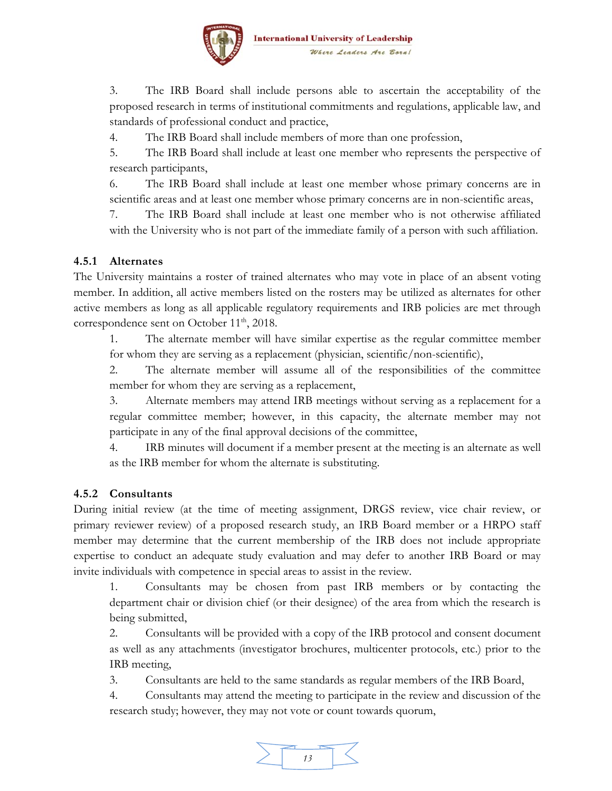

3. The IRB Board shall include persons able to ascertain the acceptability of the proposed research in terms of institutional commitments and regulations, applicable law, and standards of professional conduct and practice,

4. The IRB Board shall include members of more than one profession,

5. The IRB Board shall include at least one member who represents the perspective of research participants,

6. The IRB Board shall include at least one member whose primary concerns are in scientific areas and at least one member whose primary concerns are in non-scientific areas,

7. The IRB Board shall include at least one member who is not otherwise affiliated with the University who is not part of the immediate family of a person with such affiliation.

#### **4.5.1 Alternates**

The University maintains a roster of trained alternates who may vote in place of an absent voting member. In addition, all active members listed on the rosters may be utilized as alternates for other active members as long as all applicable regulatory requirements and IRB policies are met through correspondence sent on October 11<sup>th</sup>, 2018.

1. The alternate member will have similar expertise as the regular committee member for whom they are serving as a replacement (physician, scientific/non-scientific),

2. The alternate member will assume all of the responsibilities of the committee member for whom they are serving as a replacement,

3. Alternate members may attend IRB meetings without serving as a replacement for a regular committee member; however, in this capacity, the alternate member may not participate in any of the final approval decisions of the committee,

4. IRB minutes will document if a member present at the meeting is an alternate as well as the IRB member for whom the alternate is substituting.

#### **4.5.2 Consultants**

During initial review (at the time of meeting assignment, DRGS review, vice chair review, or primary reviewer review) of a proposed research study, an IRB Board member or a HRPO staff member may determine that the current membership of the IRB does not include appropriate expertise to conduct an adequate study evaluation and may defer to another IRB Board or may invite individuals with competence in special areas to assist in the review.

1. Consultants may be chosen from past IRB members or by contacting the department chair or division chief (or their designee) of the area from which the research is being submitted,

2. Consultants will be provided with a copy of the IRB protocol and consent document as well as any attachments (investigator brochures, multicenter protocols, etc.) prior to the IRB meeting,

3. Consultants are held to the same standards as regular members of the IRB Board,

4. Consultants may attend the meeting to participate in the review and discussion of the research study; however, they may not vote or count towards quorum,

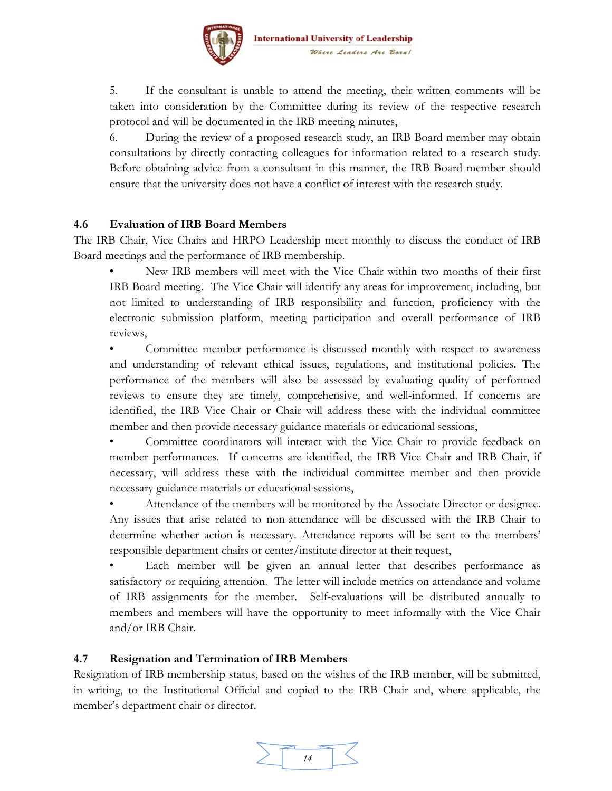

5. If the consultant is unable to attend the meeting, their written comments will be taken into consideration by the Committee during its review of the respective research protocol and will be documented in the IRB meeting minutes,

6. During the review of a proposed research study, an IRB Board member may obtain consultations by directly contacting colleagues for information related to a research study. Before obtaining advice from a consultant in this manner, the IRB Board member should ensure that the university does not have a conflict of interest with the research study.

#### **4.6 Evaluation of IRB Board Members**

The IRB Chair, Vice Chairs and HRPO Leadership meet monthly to discuss the conduct of IRB Board meetings and the performance of IRB membership.

• New IRB members will meet with the Vice Chair within two months of their first IRB Board meeting. The Vice Chair will identify any areas for improvement, including, but not limited to understanding of IRB responsibility and function, proficiency with the electronic submission platform, meeting participation and overall performance of IRB reviews,

• Committee member performance is discussed monthly with respect to awareness and understanding of relevant ethical issues, regulations, and institutional policies. The performance of the members will also be assessed by evaluating quality of performed reviews to ensure they are timely, comprehensive, and well-informed. If concerns are identified, the IRB Vice Chair or Chair will address these with the individual committee member and then provide necessary guidance materials or educational sessions,

• Committee coordinators will interact with the Vice Chair to provide feedback on member performances. If concerns are identified, the IRB Vice Chair and IRB Chair, if necessary, will address these with the individual committee member and then provide necessary guidance materials or educational sessions,

• Attendance of the members will be monitored by the Associate Director or designee. Any issues that arise related to non-attendance will be discussed with the IRB Chair to determine whether action is necessary. Attendance reports will be sent to the members' responsible department chairs or center/institute director at their request,

Each member will be given an annual letter that describes performance as satisfactory or requiring attention. The letter will include metrics on attendance and volume of IRB assignments for the member. Self-evaluations will be distributed annually to members and members will have the opportunity to meet informally with the Vice Chair and/or IRB Chair.

#### **4.7 Resignation and Termination of IRB Members**

Resignation of IRB membership status, based on the wishes of the IRB member, will be submitted, in writing, to the Institutional Official and copied to the IRB Chair and, where applicable, the member's department chair or director.

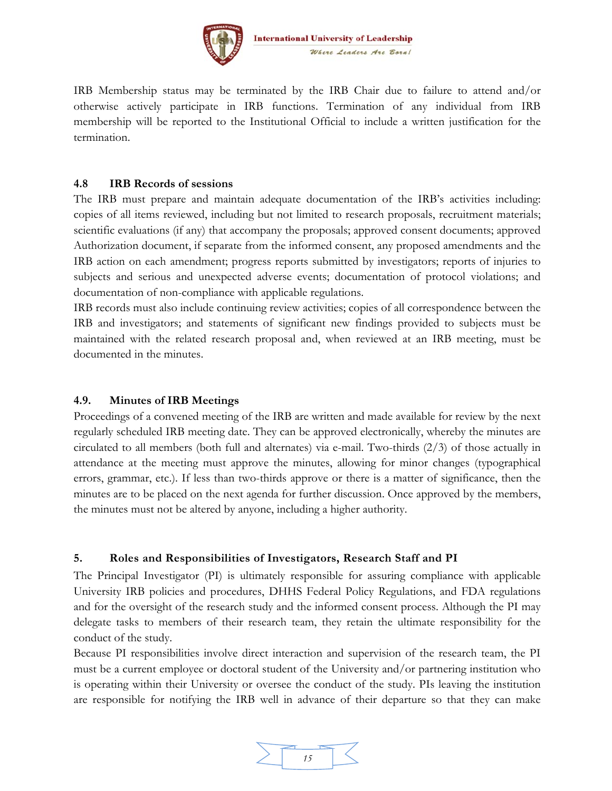

IRB Membership status may be terminated by the IRB Chair due to failure to attend and/or otherwise actively participate in IRB functions. Termination of any individual from IRB membership will be reported to the Institutional Official to include a written justification for the termination.

#### **4.8 IRB Records of sessions**

The IRB must prepare and maintain adequate documentation of the IRB's activities including: copies of all items reviewed, including but not limited to research proposals, recruitment materials; scientific evaluations (if any) that accompany the proposals; approved consent documents; approved Authorization document, if separate from the informed consent, any proposed amendments and the IRB action on each amendment; progress reports submitted by investigators; reports of injuries to subjects and serious and unexpected adverse events; documentation of protocol violations; and documentation of non-compliance with applicable regulations.

IRB records must also include continuing review activities; copies of all correspondence between the IRB and investigators; and statements of significant new findings provided to subjects must be maintained with the related research proposal and, when reviewed at an IRB meeting, must be documented in the minutes.

#### **4.9. Minutes of IRB Meetings**

Proceedings of a convened meeting of the IRB are written and made available for review by the next regularly scheduled IRB meeting date. They can be approved electronically, whereby the minutes are circulated to all members (both full and alternates) via e-mail. Two-thirds (2/3) of those actually in attendance at the meeting must approve the minutes, allowing for minor changes (typographical errors, grammar, etc.). If less than two-thirds approve or there is a matter of significance, then the minutes are to be placed on the next agenda for further discussion. Once approved by the members, the minutes must not be altered by anyone, including a higher authority.

#### **5. Roles and Responsibilities of Investigators, Research Staff and PI**

The Principal Investigator (PI) is ultimately responsible for assuring compliance with applicable University IRB policies and procedures, DHHS Federal Policy Regulations, and FDA regulations and for the oversight of the research study and the informed consent process. Although the PI may delegate tasks to members of their research team, they retain the ultimate responsibility for the conduct of the study.

Because PI responsibilities involve direct interaction and supervision of the research team, the PI must be a current employee or doctoral student of the University and/or partnering institution who is operating within their University or oversee the conduct of the study. PIs leaving the institution are responsible for notifying the IRB well in advance of their departure so that they can make

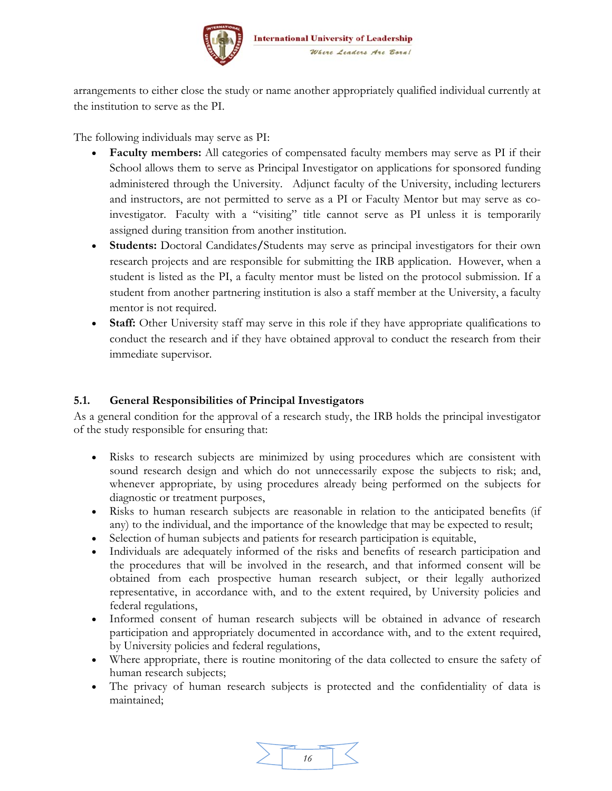

arrangements to either close the study or name another appropriately qualified individual currently at the institution to serve as the PI.

The following individuals may serve as PI:

- **Faculty members:** All categories of compensated faculty members may serve as PI if their School allows them to serve as Principal Investigator on applications for sponsored funding administered through the University. Adjunct faculty of the University, including lecturers and instructors, are not permitted to serve as a PI or Faculty Mentor but may serve as coinvestigator. Faculty with a "visiting" title cannot serve as PI unless it is temporarily assigned during transition from another institution.
- **Students:** Doctoral Candidates**/**Students may serve as principal investigators for their own research projects and are responsible for submitting the IRB application. However, when a student is listed as the PI, a faculty mentor must be listed on the protocol submission. If a student from another partnering institution is also a staff member at the University, a faculty mentor is not required.
- Staff: Other University staff may serve in this role if they have appropriate qualifications to conduct the research and if they have obtained approval to conduct the research from their immediate supervisor.

#### **5.1. General Responsibilities of Principal Investigators**

As a general condition for the approval of a research study, the IRB holds the principal investigator of the study responsible for ensuring that:

- Risks to research subjects are minimized by using procedures which are consistent with sound research design and which do not unnecessarily expose the subjects to risk; and, whenever appropriate, by using procedures already being performed on the subjects for diagnostic or treatment purposes,
- Risks to human research subjects are reasonable in relation to the anticipated benefits (if any) to the individual, and the importance of the knowledge that may be expected to result;
- Selection of human subjects and patients for research participation is equitable,
- Individuals are adequately informed of the risks and benefits of research participation and the procedures that will be involved in the research, and that informed consent will be obtained from each prospective human research subject, or their legally authorized representative, in accordance with, and to the extent required, by University policies and federal regulations,
- Informed consent of human research subjects will be obtained in advance of research participation and appropriately documented in accordance with, and to the extent required, by University policies and federal regulations,
- Where appropriate, there is routine monitoring of the data collected to ensure the safety of human research subjects;
- The privacy of human research subjects is protected and the confidentiality of data is maintained;

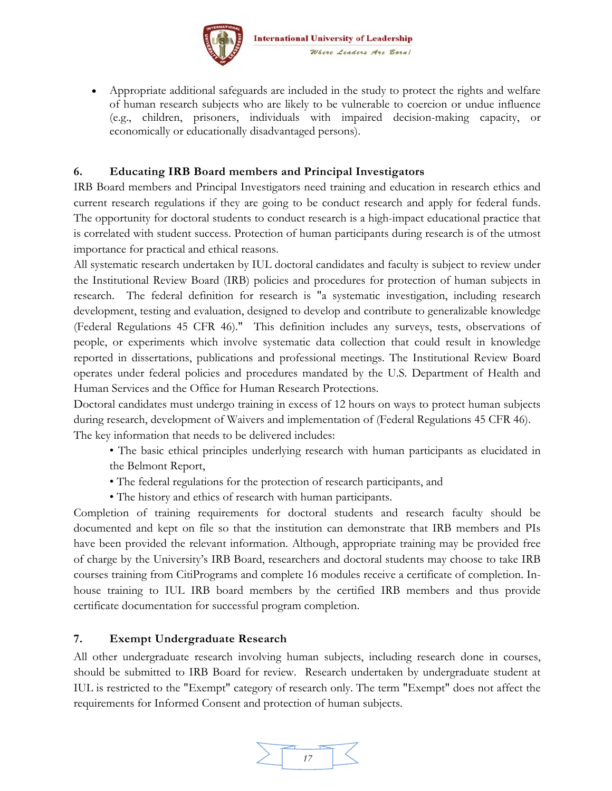

 Appropriate additional safeguards are included in the study to protect the rights and welfare of human research subjects who are likely to be vulnerable to coercion or undue influence (e.g., children, prisoners, individuals with impaired decision-making capacity, or economically or educationally disadvantaged persons).

#### **6. Educating IRB Board members and Principal Investigators**

IRB Board members and Principal Investigators need training and education in research ethics and current research regulations if they are going to be conduct research and apply for federal funds. The opportunity for doctoral students to conduct research is a high-impact educational practice that is correlated with student success. Protection of human participants during research is of the utmost importance for practical and ethical reasons.

All systematic research undertaken by IUL doctoral candidates and faculty is subject to review under the Institutional Review Board (IRB) policies and procedures for protection of human subjects in research. The federal definition for research is "a systematic investigation, including research development, testing and evaluation, designed to develop and contribute to generalizable knowledge (Federal Regulations 45 CFR 46)." This definition includes any surveys, tests, observations of people, or experiments which involve systematic data collection that could result in knowledge reported in dissertations, publications and professional meetings. The Institutional Review Board operates under federal policies and procedures mandated by the U.S. Department of Health and Human Services and the Office for Human Research Protections.

Doctoral candidates must undergo training in excess of 12 hours on ways to protect human subjects during research, development of Waivers and implementation of (Federal Regulations 45 CFR 46). The key information that needs to be delivered includes:

- The basic ethical principles underlying research with human participants as elucidated in the Belmont Report,
- The federal regulations for the protection of research participants, and
- The history and ethics of research with human participants.

Completion of training requirements for doctoral students and research faculty should be documented and kept on file so that the institution can demonstrate that IRB members and PIs have been provided the relevant information. Although, appropriate training may be provided free of charge by the University's IRB Board, researchers and doctoral students may choose to take IRB courses training from CitiPrograms and complete 16 modules receive a certificate of completion. Inhouse training to IUL IRB board members by the certified IRB members and thus provide certificate documentation for successful program completion.

#### **7. Exempt Undergraduate Research**

All other undergraduate research involving human subjects, including research done in courses, should be submitted to IRB Board for review. Research undertaken by undergraduate student at IUL is restricted to the "Exempt" category of research only. The term "Exempt" does not affect the requirements for Informed Consent and protection of human subjects.

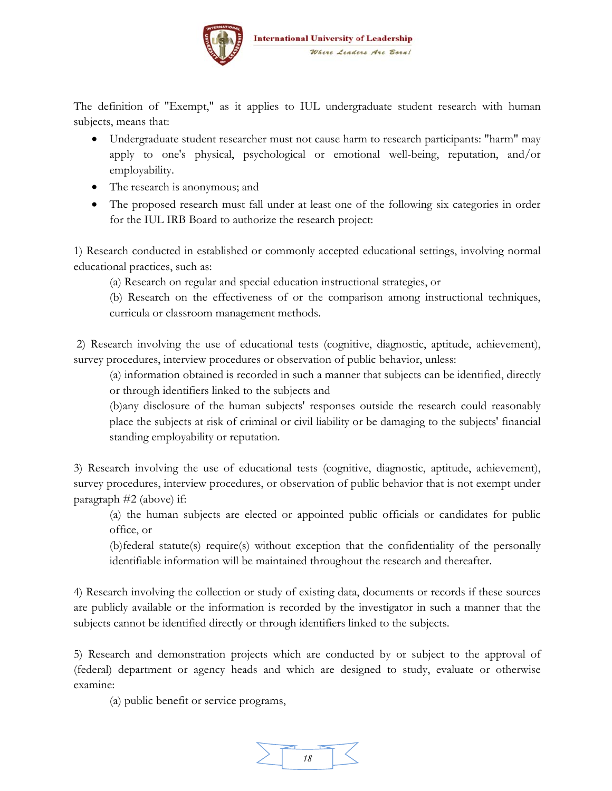

The definition of "Exempt," as it applies to IUL undergraduate student research with human subjects, means that:

- Undergraduate student researcher must not cause harm to research participants: "harm" may apply to one's physical, psychological or emotional well-being, reputation, and/or employability.
- The research is anonymous; and
- The proposed research must fall under at least one of the following six categories in order for the IUL IRB Board to authorize the research project:

1) Research conducted in established or commonly accepted educational settings, involving normal educational practices, such as:

(a) Research on regular and special education instructional strategies, or

(b) Research on the effectiveness of or the comparison among instructional techniques, curricula or classroom management methods.

 2) Research involving the use of educational tests (cognitive, diagnostic, aptitude, achievement), survey procedures, interview procedures or observation of public behavior, unless:

(a) information obtained is recorded in such a manner that subjects can be identified, directly or through identifiers linked to the subjects and

(b)any disclosure of the human subjects' responses outside the research could reasonably place the subjects at risk of criminal or civil liability or be damaging to the subjects' financial standing employability or reputation.

3) Research involving the use of educational tests (cognitive, diagnostic, aptitude, achievement), survey procedures, interview procedures, or observation of public behavior that is not exempt under paragraph #2 (above) if:

(a) the human subjects are elected or appointed public officials or candidates for public office, or

(b)federal statute(s) require(s) without exception that the confidentiality of the personally identifiable information will be maintained throughout the research and thereafter.

4) Research involving the collection or study of existing data, documents or records if these sources are publicly available or the information is recorded by the investigator in such a manner that the subjects cannot be identified directly or through identifiers linked to the subjects.

5) Research and demonstration projects which are conducted by or subject to the approval of (federal) department or agency heads and which are designed to study, evaluate or otherwise examine:

(a) public benefit or service programs,

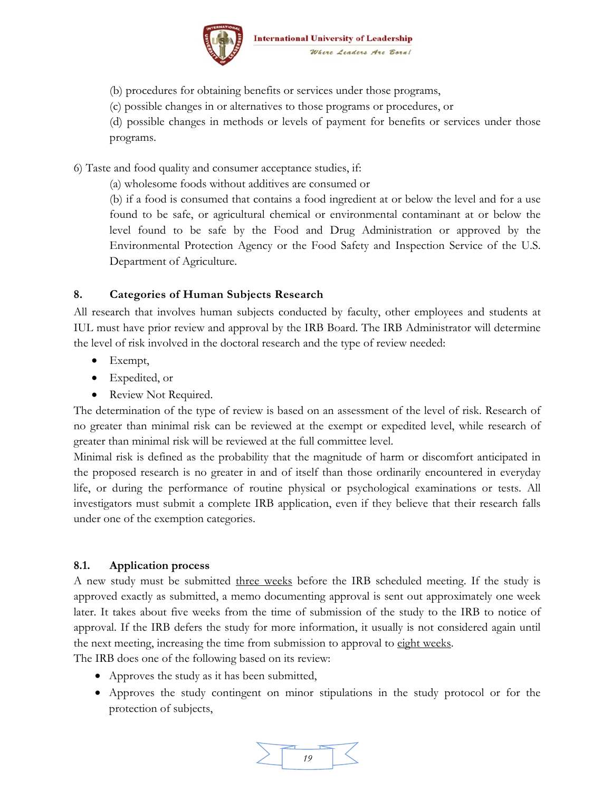

(b) procedures for obtaining benefits or services under those programs,

(c) possible changes in or alternatives to those programs or procedures, or

(d) possible changes in methods or levels of payment for benefits or services under those programs.

6) Taste and food quality and consumer acceptance studies, if:

(a) wholesome foods without additives are consumed or

(b) if a food is consumed that contains a food ingredient at or below the level and for a use found to be safe, or agricultural chemical or environmental contaminant at or below the level found to be safe by the Food and Drug Administration or approved by the Environmental Protection Agency or the Food Safety and Inspection Service of the U.S. Department of Agriculture.

#### **8. Categories of Human Subjects Research**

All research that involves human subjects conducted by faculty, other employees and students at IUL must have prior review and approval by the IRB Board. The IRB Administrator will determine the level of risk involved in the doctoral research and the type of review needed:

- Exempt,
- Expedited, or
- Review Not Required.

The determination of the type of review is based on an assessment of the level of risk. Research of no greater than minimal risk can be reviewed at the exempt or expedited level, while research of greater than minimal risk will be reviewed at the full committee level.

Minimal risk is defined as the probability that the magnitude of harm or discomfort anticipated in the proposed research is no greater in and of itself than those ordinarily encountered in everyday life, or during the performance of routine physical or psychological examinations or tests. All investigators must submit a complete IRB application, even if they believe that their research falls under one of the exemption categories.

#### **8.1. Application process**

A new study must be submitted three weeks before the IRB scheduled meeting. If the study is approved exactly as submitted, a memo documenting approval is sent out approximately one week later. It takes about five weeks from the time of submission of the study to the IRB to notice of approval. If the IRB defers the study for more information, it usually is not considered again until the next meeting, increasing the time from submission to approval to eight weeks.

The IRB does one of the following based on its review:

- Approves the study as it has been submitted,
- Approves the study contingent on minor stipulations in the study protocol or for the protection of subjects,

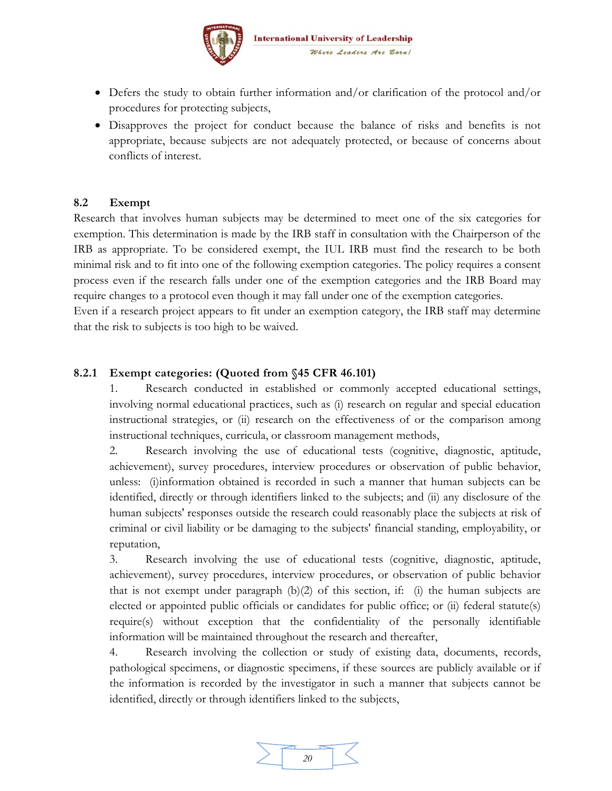

- Defers the study to obtain further information and/or clarification of the protocol and/or procedures for protecting subjects,
- Disapproves the project for conduct because the balance of risks and benefits is not appropriate, because subjects are not adequately protected, or because of concerns about conflicts of interest.

#### **8.2 Exempt**

Research that involves human subjects may be determined to meet one of the six categories for exemption. This determination is made by the IRB staff in consultation with the Chairperson of the IRB as appropriate. To be considered exempt, the IUL IRB must find the research to be both minimal risk and to fit into one of the following exemption categories. The policy requires a consent process even if the research falls under one of the exemption categories and the IRB Board may require changes to a protocol even though it may fall under one of the exemption categories.

Even if a research project appears to fit under an exemption category, the IRB staff may determine that the risk to subjects is too high to be waived.

#### **8.2.1 Exempt categories: (Quoted from §45 CFR 46.101)**

1. Research conducted in established or commonly accepted educational settings, involving normal educational practices, such as (i) research on regular and special education instructional strategies, or (ii) research on the effectiveness of or the comparison among instructional techniques, curricula, or classroom management methods,

2. Research involving the use of educational tests (cognitive, diagnostic, aptitude, achievement), survey procedures, interview procedures or observation of public behavior, unless: (i)information obtained is recorded in such a manner that human subjects can be identified, directly or through identifiers linked to the subjects; and (ii) any disclosure of the human subjects' responses outside the research could reasonably place the subjects at risk of criminal or civil liability or be damaging to the subjects' financial standing, employability, or reputation,

3. Research involving the use of educational tests (cognitive, diagnostic, aptitude, achievement), survey procedures, interview procedures, or observation of public behavior that is not exempt under paragraph (b)(2) of this section, if: (i) the human subjects are elected or appointed public officials or candidates for public office; or (ii) federal statute(s) require(s) without exception that the confidentiality of the personally identifiable information will be maintained throughout the research and thereafter,

4. Research involving the collection or study of existing data, documents, records, pathological specimens, or diagnostic specimens, if these sources are publicly available or if the information is recorded by the investigator in such a manner that subjects cannot be identified, directly or through identifiers linked to the subjects,

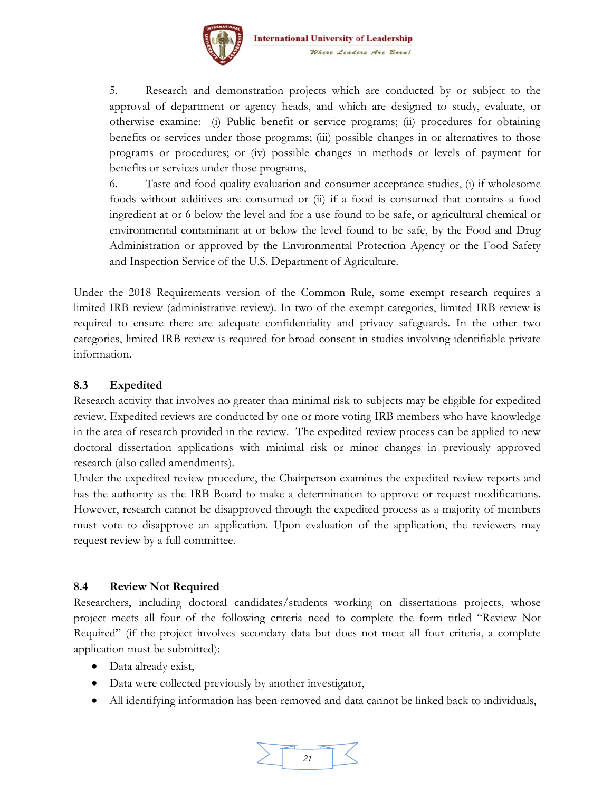

5. Research and demonstration projects which are conducted by or subject to the approval of department or agency heads, and which are designed to study, evaluate, or otherwise examine: (i) Public benefit or service programs; (ii) procedures for obtaining benefits or services under those programs; (iii) possible changes in or alternatives to those programs or procedures; or (iv) possible changes in methods or levels of payment for benefits or services under those programs,

6. Taste and food quality evaluation and consumer acceptance studies, (i) if wholesome foods without additives are consumed or (ii) if a food is consumed that contains a food ingredient at or 6 below the level and for a use found to be safe, or agricultural chemical or environmental contaminant at or below the level found to be safe, by the Food and Drug Administration or approved by the Environmental Protection Agency or the Food Safety and Inspection Service of the U.S. Department of Agriculture.

Under the 2018 Requirements version of the Common Rule, some exempt research requires a limited IRB review (administrative review). In two of the exempt categories, limited IRB review is required to ensure there are adequate confidentiality and privacy safeguards. In the other two categories, limited IRB review is required for broad consent in studies involving identifiable private information.

#### **8.3 Expedited**

Research activity that involves no greater than minimal risk to subjects may be eligible for expedited review. Expedited reviews are conducted by one or more voting IRB members who have knowledge in the area of research provided in the review. The expedited review process can be applied to new doctoral dissertation applications with minimal risk or minor changes in previously approved research (also called amendments).

Under the expedited review procedure, the Chairperson examines the expedited review reports and has the authority as the IRB Board to make a determination to approve or request modifications. However, research cannot be disapproved through the expedited process as a majority of members must vote to disapprove an application. Upon evaluation of the application, the reviewers may request review by a full committee.

#### **8.4 Review Not Required**

Researchers, including doctoral candidates/students working on dissertations projects, whose project meets all four of the following criteria need to complete the form titled "Review Not Required" (if the project involves secondary data but does not meet all four criteria, a complete application must be submitted):

- Data already exist,
- Data were collected previously by another investigator,
- All identifying information has been removed and data cannot be linked back to individuals,

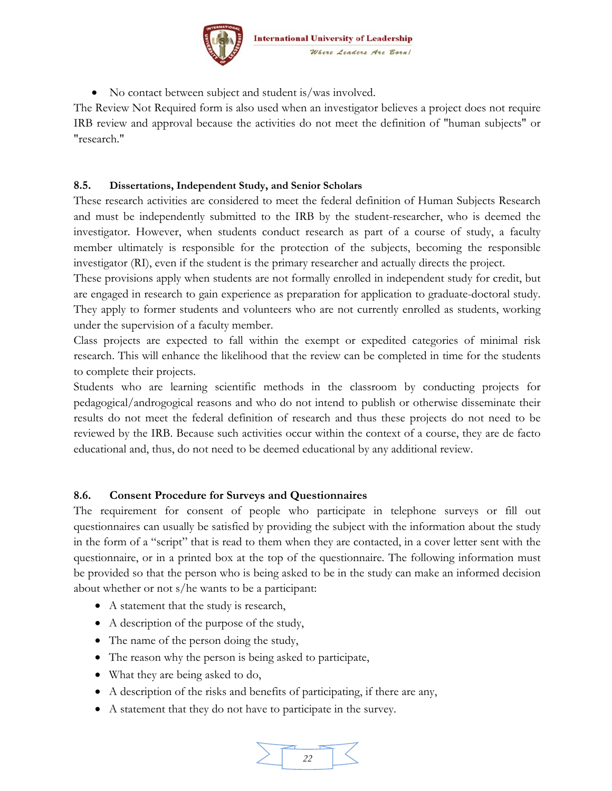

• No contact between subject and student is/was involved.

The Review Not Required form is also used when an investigator believes a project does not require IRB review and approval because the activities do not meet the definition of "human subjects" or "research."

#### **8.5. Dissertations, Independent Study, and Senior Scholars**

These research activities are considered to meet the federal definition of Human Subjects Research and must be independently submitted to the IRB by the student-researcher, who is deemed the investigator. However, when students conduct research as part of a course of study, a faculty member ultimately is responsible for the protection of the subjects, becoming the responsible investigator (RI), even if the student is the primary researcher and actually directs the project.

These provisions apply when students are not formally enrolled in independent study for credit, but are engaged in research to gain experience as preparation for application to graduate-doctoral study. They apply to former students and volunteers who are not currently enrolled as students, working under the supervision of a faculty member.

Class projects are expected to fall within the exempt or expedited categories of minimal risk research. This will enhance the likelihood that the review can be completed in time for the students to complete their projects.

Students who are learning scientific methods in the classroom by conducting projects for pedagogical/androgogical reasons and who do not intend to publish or otherwise disseminate their results do not meet the federal definition of research and thus these projects do not need to be reviewed by the IRB. Because such activities occur within the context of a course, they are de facto educational and, thus, do not need to be deemed educational by any additional review.

#### **8.6. Consent Procedure for Surveys and Questionnaires**

The requirement for consent of people who participate in telephone surveys or fill out questionnaires can usually be satisfied by providing the subject with the information about the study in the form of a "script" that is read to them when they are contacted, in a cover letter sent with the questionnaire, or in a printed box at the top of the questionnaire. The following information must be provided so that the person who is being asked to be in the study can make an informed decision about whether or not s/he wants to be a participant:

- A statement that the study is research,
- A description of the purpose of the study,
- The name of the person doing the study,
- The reason why the person is being asked to participate,
- What they are being asked to do,
- A description of the risks and benefits of participating, if there are any,
- A statement that they do not have to participate in the survey.

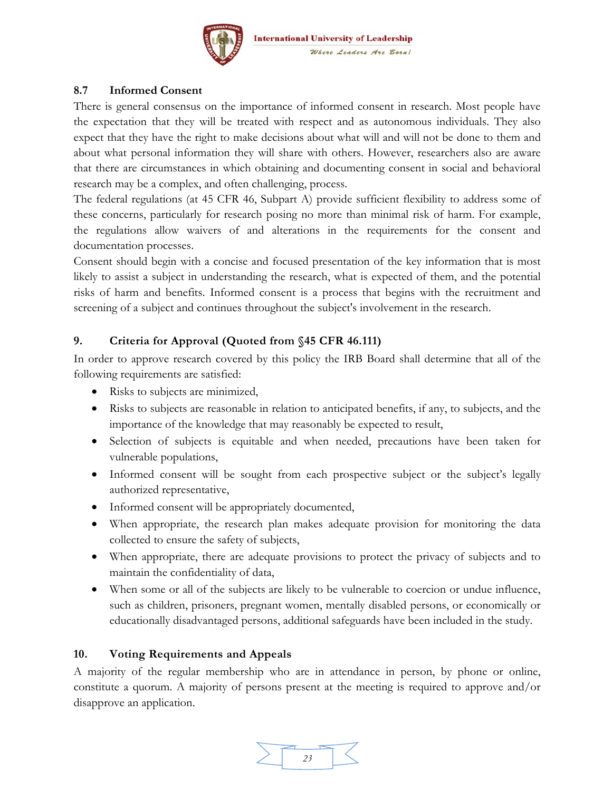

#### **8.7 Informed Consent**

There is general consensus on the importance of informed consent in research. Most people have the expectation that they will be treated with respect and as autonomous individuals. They also expect that they have the right to make decisions about what will and will not be done to them and about what personal information they will share with others. However, researchers also are aware that there are circumstances in which obtaining and documenting consent in social and behavioral research may be a complex, and often challenging, process.

The federal regulations (at 45 CFR 46, Subpart A) provide sufficient flexibility to address some of these concerns, particularly for research posing no more than minimal risk of harm. For example, the regulations allow waivers of and alterations in the requirements for the consent and documentation processes.

Consent should begin with a concise and focused presentation of the key information that is most likely to assist a subject in understanding the research, what is expected of them, and the potential risks of harm and benefits. Informed consent is a process that begins with the recruitment and screening of a subject and continues throughout the subject's involvement in the research.

#### **9. Criteria for Approval (Quoted from §45 CFR 46.111)**

In order to approve research covered by this policy the IRB Board shall determine that all of the following requirements are satisfied:

- Risks to subjects are minimized,
- Risks to subjects are reasonable in relation to anticipated benefits, if any, to subjects, and the importance of the knowledge that may reasonably be expected to result,
- Selection of subjects is equitable and when needed, precautions have been taken for vulnerable populations,
- Informed consent will be sought from each prospective subject or the subject's legally authorized representative,
- Informed consent will be appropriately documented,
- When appropriate, the research plan makes adequate provision for monitoring the data collected to ensure the safety of subjects,
- When appropriate, there are adequate provisions to protect the privacy of subjects and to maintain the confidentiality of data,
- When some or all of the subjects are likely to be vulnerable to coercion or undue influence, such as children, prisoners, pregnant women, mentally disabled persons, or economically or educationally disadvantaged persons, additional safeguards have been included in the study.

#### **10. Voting Requirements and Appeals**

A majority of the regular membership who are in attendance in person, by phone or online, constitute a quorum. A majority of persons present at the meeting is required to approve and/or disapprove an application.

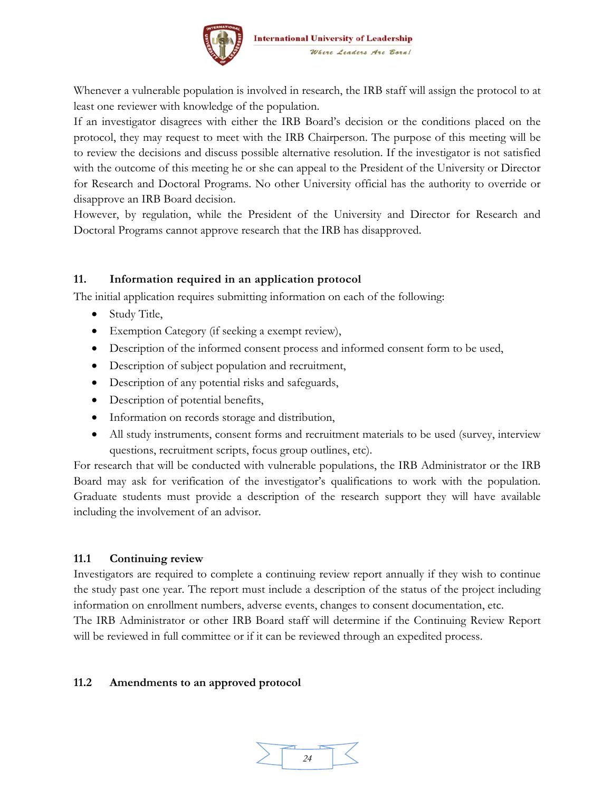

Whenever a vulnerable population is involved in research, the IRB staff will assign the protocol to at least one reviewer with knowledge of the population.

If an investigator disagrees with either the IRB Board's decision or the conditions placed on the protocol, they may request to meet with the IRB Chairperson. The purpose of this meeting will be to review the decisions and discuss possible alternative resolution. If the investigator is not satisfied with the outcome of this meeting he or she can appeal to the President of the University or Director for Research and Doctoral Programs. No other University official has the authority to override or disapprove an IRB Board decision.

However, by regulation, while the President of the University and Director for Research and Doctoral Programs cannot approve research that the IRB has disapproved.

#### **11. Information required in an application protocol**

The initial application requires submitting information on each of the following:

- Study Title,
- Exemption Category (if seeking a exempt review),
- Description of the informed consent process and informed consent form to be used,
- Description of subject population and recruitment,
- Description of any potential risks and safeguards,
- Description of potential benefits,
- Information on records storage and distribution,
- All study instruments, consent forms and recruitment materials to be used (survey, interview questions, recruitment scripts, focus group outlines, etc).

For research that will be conducted with vulnerable populations, the IRB Administrator or the IRB Board may ask for verification of the investigator's qualifications to work with the population. Graduate students must provide a description of the research support they will have available including the involvement of an advisor.

#### **11.1 Continuing review**

Investigators are required to complete a continuing review report annually if they wish to continue the study past one year. The report must include a description of the status of the project including information on enrollment numbers, adverse events, changes to consent documentation, etc.

The IRB Administrator or other IRB Board staff will determine if the Continuing Review Report will be reviewed in full committee or if it can be reviewed through an expedited process.

#### **11.2 Amendments to an approved protocol**

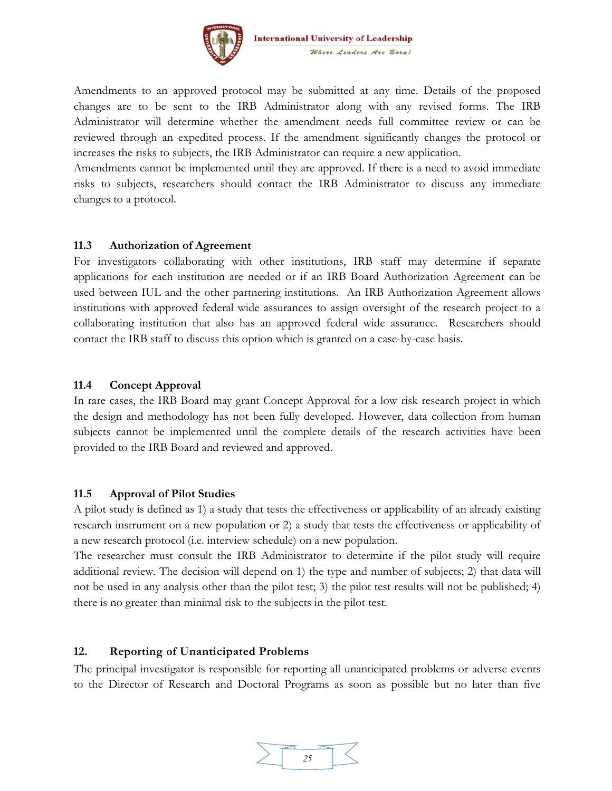

Amendments to an approved protocol may be submitted at any time. Details of the proposed changes are to be sent to the IRB Administrator along with any revised forms. The IRB Administrator will determine whether the amendment needs full committee review or can be reviewed through an expedited process. If the amendment significantly changes the protocol or increases the risks to subjects, the IRB Administrator can require a new application.

Amendments cannot be implemented until they are approved. If there is a need to avoid immediate risks to subjects, researchers should contact the IRB Administrator to discuss any immediate changes to a protocol.

#### **11.3 Authorization of Agreement**

For investigators collaborating with other institutions, IRB staff may determine if separate applications for each institution are needed or if an IRB Board Authorization Agreement can be used between IUL and the other partnering institutions. An IRB Authorization Agreement allows institutions with approved federal wide assurances to assign oversight of the research project to a collaborating institution that also has an approved federal wide assurance. Researchers should contact the IRB staff to discuss this option which is granted on a case-by-case basis.

#### **11.4 Concept Approval**

In rare cases, the IRB Board may grant Concept Approval for a low risk research project in which the design and methodology has not been fully developed. However, data collection from human subjects cannot be implemented until the complete details of the research activities have been provided to the IRB Board and reviewed and approved.

#### **11.5 Approval of Pilot Studies**

A pilot study is defined as 1) a study that tests the effectiveness or applicability of an already existing research instrument on a new population or 2) a study that tests the effectiveness or applicability of a new research protocol (i.e. interview schedule) on a new population.

The researcher must consult the IRB Administrator to determine if the pilot study will require additional review. The decision will depend on 1) the type and number of subjects; 2) that data will not be used in any analysis other than the pilot test; 3) the pilot test results will not be published; 4) there is no greater than minimal risk to the subjects in the pilot test.

#### **12. Reporting of Unanticipated Problems**

The principal investigator is responsible for reporting all unanticipated problems or adverse events to the Director of Research and Doctoral Programs as soon as possible but no later than five

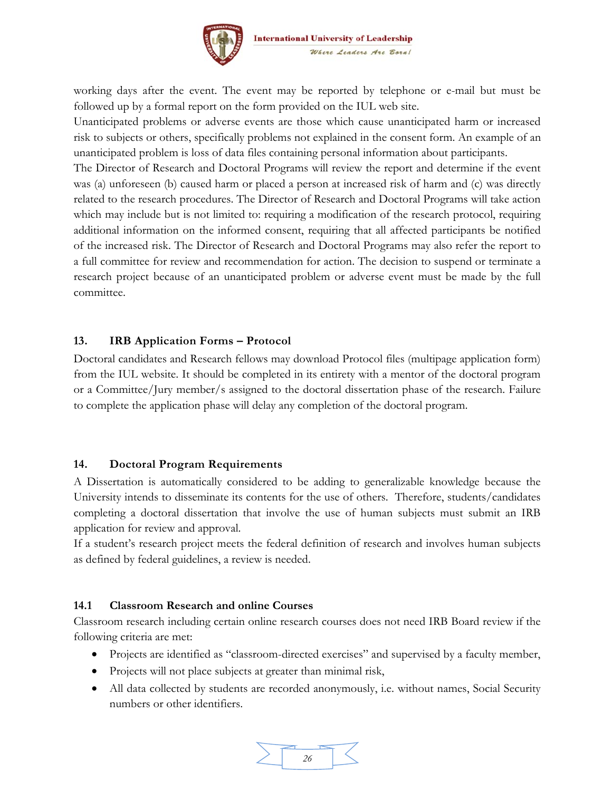

working days after the event. The event may be reported by telephone or e-mail but must be followed up by a formal report on the form provided on the IUL web site.

Unanticipated problems or adverse events are those which cause unanticipated harm or increased risk to subjects or others, specifically problems not explained in the consent form. An example of an unanticipated problem is loss of data files containing personal information about participants.

The Director of Research and Doctoral Programs will review the report and determine if the event was (a) unforeseen (b) caused harm or placed a person at increased risk of harm and (c) was directly related to the research procedures. The Director of Research and Doctoral Programs will take action which may include but is not limited to: requiring a modification of the research protocol, requiring additional information on the informed consent, requiring that all affected participants be notified of the increased risk. The Director of Research and Doctoral Programs may also refer the report to a full committee for review and recommendation for action. The decision to suspend or terminate a research project because of an unanticipated problem or adverse event must be made by the full committee.

#### **13. IRB Application Forms – Protocol**

Doctoral candidates and Research fellows may download Protocol files (multipage application form) from the IUL website. It should be completed in its entirety with a mentor of the doctoral program or a Committee/Jury member/s assigned to the doctoral dissertation phase of the research. Failure to complete the application phase will delay any completion of the doctoral program.

#### **14. Doctoral Program Requirements**

A Dissertation is automatically considered to be adding to generalizable knowledge because the University intends to disseminate its contents for the use of others. Therefore, students/candidates completing a doctoral dissertation that involve the use of human subjects must submit an IRB application for review and approval.

If a student's research project meets the federal definition of research and involves human subjects as defined by federal guidelines, a review is needed.

#### **14.1 Classroom Research and online Courses**

Classroom research including certain online research courses does not need IRB Board review if the following criteria are met:

- Projects are identified as "classroom-directed exercises" and supervised by a faculty member,
- Projects will not place subjects at greater than minimal risk,
- All data collected by students are recorded anonymously, i.e. without names, Social Security numbers or other identifiers.

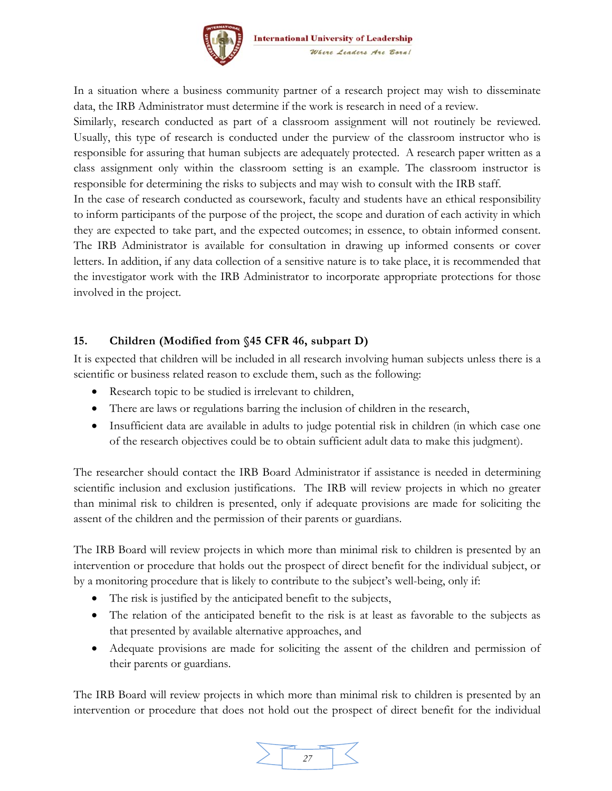

In a situation where a business community partner of a research project may wish to disseminate data, the IRB Administrator must determine if the work is research in need of a review.

Similarly, research conducted as part of a classroom assignment will not routinely be reviewed. Usually, this type of research is conducted under the purview of the classroom instructor who is responsible for assuring that human subjects are adequately protected. A research paper written as a class assignment only within the classroom setting is an example. The classroom instructor is responsible for determining the risks to subjects and may wish to consult with the IRB staff.

In the case of research conducted as coursework, faculty and students have an ethical responsibility to inform participants of the purpose of the project, the scope and duration of each activity in which they are expected to take part, and the expected outcomes; in essence, to obtain informed consent. The IRB Administrator is available for consultation in drawing up informed consents or cover letters. In addition, if any data collection of a sensitive nature is to take place, it is recommended that the investigator work with the IRB Administrator to incorporate appropriate protections for those involved in the project.

#### **15. Children (Modified from §45 CFR 46, subpart D)**

It is expected that children will be included in all research involving human subjects unless there is a scientific or business related reason to exclude them, such as the following:

- Research topic to be studied is irrelevant to children,
- There are laws or regulations barring the inclusion of children in the research,
- Insufficient data are available in adults to judge potential risk in children (in which case one of the research objectives could be to obtain sufficient adult data to make this judgment).

The researcher should contact the IRB Board Administrator if assistance is needed in determining scientific inclusion and exclusion justifications. The IRB will review projects in which no greater than minimal risk to children is presented, only if adequate provisions are made for soliciting the assent of the children and the permission of their parents or guardians.

The IRB Board will review projects in which more than minimal risk to children is presented by an intervention or procedure that holds out the prospect of direct benefit for the individual subject, or by a monitoring procedure that is likely to contribute to the subject's well-being, only if:

- The risk is justified by the anticipated benefit to the subjects,
- The relation of the anticipated benefit to the risk is at least as favorable to the subjects as that presented by available alternative approaches, and
- Adequate provisions are made for soliciting the assent of the children and permission of their parents or guardians.

The IRB Board will review projects in which more than minimal risk to children is presented by an intervention or procedure that does not hold out the prospect of direct benefit for the individual

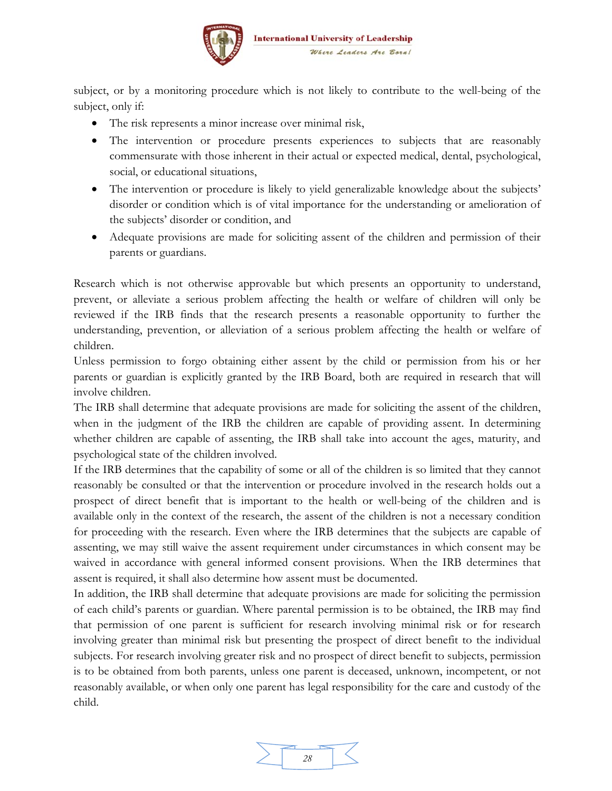

subject, or by a monitoring procedure which is not likely to contribute to the well-being of the subject, only if:

- The risk represents a minor increase over minimal risk,
- The intervention or procedure presents experiences to subjects that are reasonably commensurate with those inherent in their actual or expected medical, dental, psychological, social, or educational situations,
- The intervention or procedure is likely to yield generalizable knowledge about the subjects' disorder or condition which is of vital importance for the understanding or amelioration of the subjects' disorder or condition, and
- Adequate provisions are made for soliciting assent of the children and permission of their parents or guardians.

Research which is not otherwise approvable but which presents an opportunity to understand, prevent, or alleviate a serious problem affecting the health or welfare of children will only be reviewed if the IRB finds that the research presents a reasonable opportunity to further the understanding, prevention, or alleviation of a serious problem affecting the health or welfare of children.

Unless permission to forgo obtaining either assent by the child or permission from his or her parents or guardian is explicitly granted by the IRB Board, both are required in research that will involve children.

The IRB shall determine that adequate provisions are made for soliciting the assent of the children, when in the judgment of the IRB the children are capable of providing assent. In determining whether children are capable of assenting, the IRB shall take into account the ages, maturity, and psychological state of the children involved.

If the IRB determines that the capability of some or all of the children is so limited that they cannot reasonably be consulted or that the intervention or procedure involved in the research holds out a prospect of direct benefit that is important to the health or well-being of the children and is available only in the context of the research, the assent of the children is not a necessary condition for proceeding with the research. Even where the IRB determines that the subjects are capable of assenting, we may still waive the assent requirement under circumstances in which consent may be waived in accordance with general informed consent provisions. When the IRB determines that assent is required, it shall also determine how assent must be documented.

In addition, the IRB shall determine that adequate provisions are made for soliciting the permission of each child's parents or guardian. Where parental permission is to be obtained, the IRB may find that permission of one parent is sufficient for research involving minimal risk or for research involving greater than minimal risk but presenting the prospect of direct benefit to the individual subjects. For research involving greater risk and no prospect of direct benefit to subjects, permission is to be obtained from both parents, unless one parent is deceased, unknown, incompetent, or not reasonably available, or when only one parent has legal responsibility for the care and custody of the child.

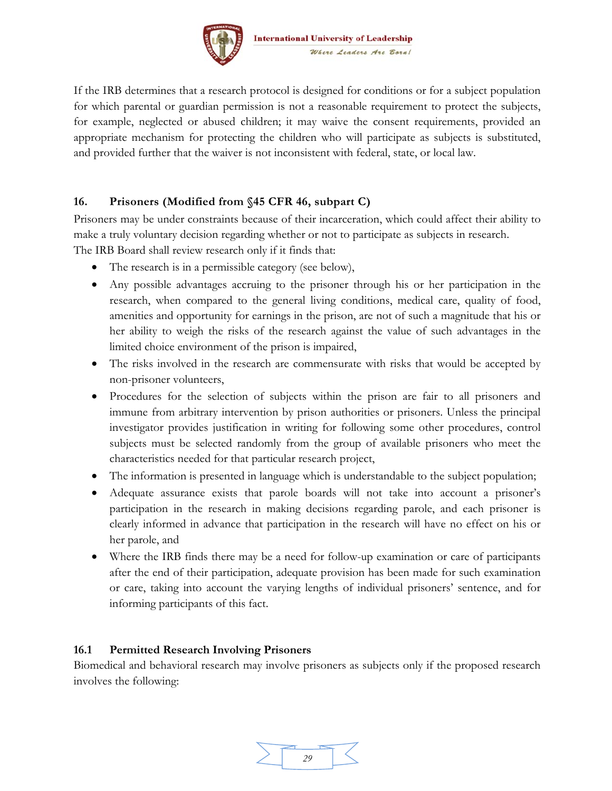

If the IRB determines that a research protocol is designed for conditions or for a subject population for which parental or guardian permission is not a reasonable requirement to protect the subjects, for example, neglected or abused children; it may waive the consent requirements, provided an appropriate mechanism for protecting the children who will participate as subjects is substituted, and provided further that the waiver is not inconsistent with federal, state, or local law.

#### **16. Prisoners (Modified from §45 CFR 46, subpart C)**

Prisoners may be under constraints because of their incarceration, which could affect their ability to make a truly voluntary decision regarding whether or not to participate as subjects in research. The IRB Board shall review research only if it finds that:

- The research is in a permissible category (see below),
- Any possible advantages accruing to the prisoner through his or her participation in the research, when compared to the general living conditions, medical care, quality of food, amenities and opportunity for earnings in the prison, are not of such a magnitude that his or her ability to weigh the risks of the research against the value of such advantages in the limited choice environment of the prison is impaired,
- The risks involved in the research are commensurate with risks that would be accepted by non-prisoner volunteers,
- Procedures for the selection of subjects within the prison are fair to all prisoners and immune from arbitrary intervention by prison authorities or prisoners. Unless the principal investigator provides justification in writing for following some other procedures, control subjects must be selected randomly from the group of available prisoners who meet the characteristics needed for that particular research project,
- The information is presented in language which is understandable to the subject population;
- Adequate assurance exists that parole boards will not take into account a prisoner's participation in the research in making decisions regarding parole, and each prisoner is clearly informed in advance that participation in the research will have no effect on his or her parole, and
- Where the IRB finds there may be a need for follow-up examination or care of participants after the end of their participation, adequate provision has been made for such examination or care, taking into account the varying lengths of individual prisoners' sentence, and for informing participants of this fact.

#### **16.1 Permitted Research Involving Prisoners**

Biomedical and behavioral research may involve prisoners as subjects only if the proposed research involves the following: